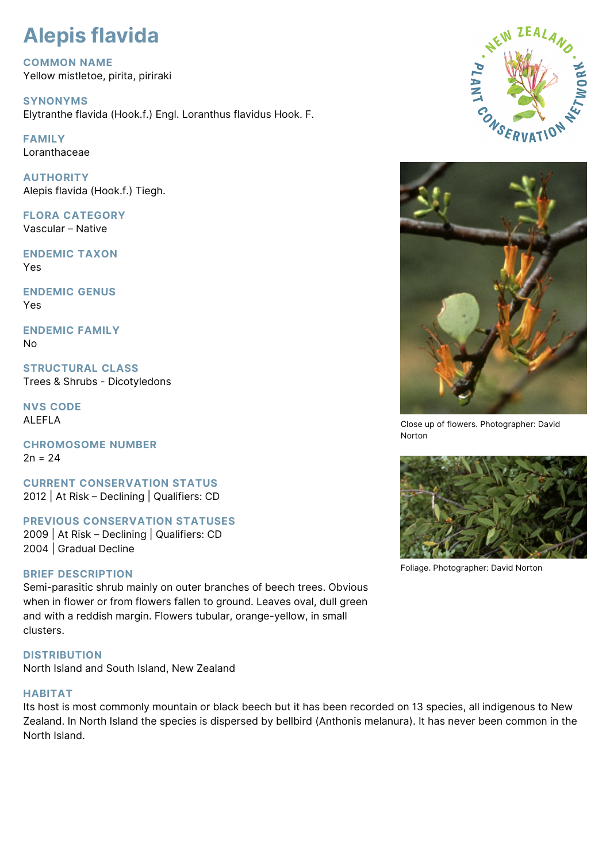# **Alepis flavida**

**COMMON NAME** Yellow mistletoe, pirita, piriraki

**SYNONYMS** Elytranthe flavida (Hook.f.) Engl. Loranthus flavidus Hook. F.

**FAMILY** Loranthaceae

**AUTHORITY** Alepis flavida (Hook.f.) Tiegh.

**FLORA CATEGORY** Vascular – Native

**ENDEMIC TAXON** Yes

**ENDEMIC GENUS** Yes

**ENDEMIC FAMILY** No

**STRUCTURAL CLASS** Trees & Shrubs - Dicotyledons

**NVS CODE** ALEFLA

**CHROMOSOME NUMBER**  $2n = 24$ 

**CURRENT CONSERVATION STATUS** 2012 | At Risk – Declining | Qualifiers: CD

**PREVIOUS CONSERVATION STATUSES** 2009 | At Risk – Declining | Qualifiers: CD 2004 | Gradual Decline

# **BRIEF DESCRIPTION**

Semi-parasitic shrub mainly on outer branches of beech trees. Obvious when in flower or from flowers fallen to ground. Leaves oval, dull green and with a reddish margin. Flowers tubular, orange-yellow, in small clusters.

# **DISTRIBUTION**

North Island and South Island, New Zealand

# **HABITAT**

Its host is most commonly mountain or black beech but it has been recorded on 13 species, all indigenous to New Zealand. In North Island the species is dispersed by bellbird (Anthonis melanura). It has never been common in the North Island.





Close up of flowers. Photographer: David Norton



Foliage. Photographer: David Norton